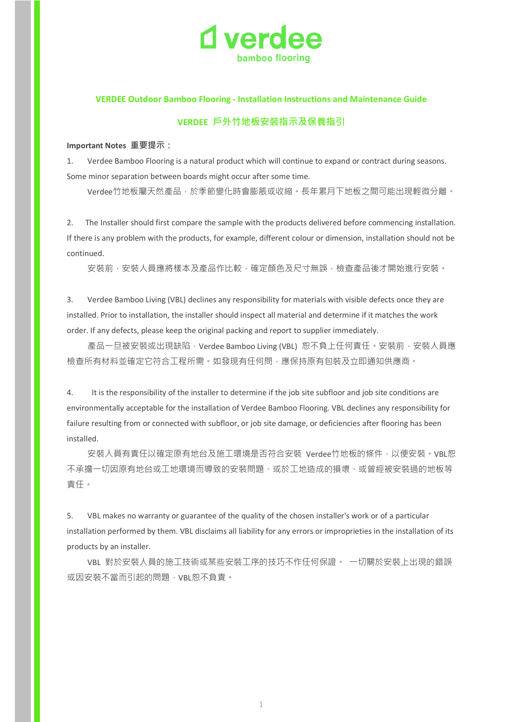

## **VERDEE Outdoor Bamboo Flooring - Installation Instructions and Maintenance Guide**

# **VERDEE 戶外竹地板安裝指示及保養指引**

#### **Important Notes 重要提示:**

1. Verdee Bamboo Flooring is a natural product which will continue to expand or contract during seasons. Some minor separation between boards might occur after some time.

Verdee竹地板屬天然產品,於季節變化時會膨脹或收縮。長年累月下地板之間可能出現輕微分離。

2. The Installer should first compare the sample with the products delivered before commencing installation. If there is any problem with the products, for example, different colour or dimension, installation should not be continued.

安裝前,安裝人員應將樣本及產品作比較,確定顏色及尺寸無誤,檢查產品後才開始進行安裝。

3. Verdee Bamboo Living (VBL) declines any responsibility for materials with visible defects once they are installed. Prior to installation, the installer should inspect all material and determine if it matches the work order. If any defects, please keep the original packing and report to supplier immediately.

產品一旦被安裝或出現缺陷, Verdee Bamboo Living (VBL) 恕不負上任何責任。安裝前, 安裝人員應 檢查所有材料並確定它符合工程所需。如發現有任何問,應保持原有包裝及立即通知供應商。

4. It is the responsibility of the installer to determine if the job site subfloor and job site conditions are environmentally acceptable for the installation of Verdee Bamboo Flooring. VBL declines any responsibility for failure resulting from or connected with subfloor, or job site damage, or deficiencies after flooring has been installed.

安裝人員有責任以確定原有地台及施工環境是否符合安裝 Verdee竹地板的條件,以便安裝。VBL恕 不承擔一切因原有地台或工地環境而導致的安裝問題、或於工地造成的損壞、或曾經被安裝過的地板等 責任。

5. VBL makes no warranty or guarantee of the quality of the chosen installer's work or of a particular installation performed by them. VBL disclaims all liability for any errors or improprieties in the installation of its products by an installer.

VBL 對於安裝人員的施工技術或某些安裝工序的技巧不作任何保證。 一切關於安裝上出現的錯誤 或因安裝不當而引起的問題,VBL恕不負責。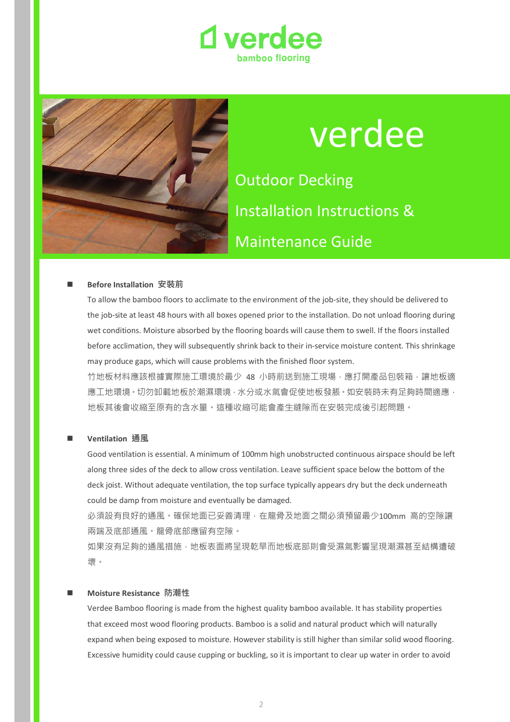



# verdee Outdoor Decking Installation Instructions &

Maintenance Guide

# **Before Installation 安裝前**

To allow the bamboo floors to acclimate to the environment of the job-site, they should be delivered to the job-site at least 48 hours with all boxes opened prior to the installation. Do not unload flooring during wet conditions. Moisture absorbed by the flooring boards will cause them to swell. If the floors installed before acclimation, they will subsequently shrink back to their in-service moisture content. This shrinkage may produce gaps, which will cause problems with the finished floor system.

竹地板材料應該根據實際施工環境於最少 48 小時前送到施工現場,應打開產品包裝箱,讓地板適 應工地環境。切勿卸載地板於潮濕環境,水分或水氣會促使地板發脹。如安裝時未有足夠時間適應, 地板其後會收縮至原有的含水量。這種收縮可能會產生縫隙而在安裝完成後引起問題。

#### **Ventilation 通風**

Good ventilation is essential. A minimum of 100mm high unobstructed continuous airspace should be left along three sides of the deck to allow cross ventilation. Leave sufficient space below the bottom of the deck joist. Without adequate ventilation, the top surface typically appears dry but the deck underneath could be damp from moisture and eventually be damaged.

必須設有良好的通風。確保地面已妥善清理,在龍骨及地面之間必須預留最少100mm 高的空隙讓 兩端及底部通風。龍骨底部應留有空隙。

如果沒有足夠的通風措施,地板表面將呈現乾旱而地板底部則會受濕氣影響呈現潮濕甚至結構遭破 壞。

#### **Moisture Resistance 防潮性**

Verdee Bamboo flooring is made from the highest quality bamboo available. It has stability properties that exceed most wood flooring products. Bamboo is a solid and natural product which will naturally expand when being exposed to moisture. However stability is still higher than similar solid wood flooring. Excessive humidity could cause cupping or buckling, so it is important to clear up water in order to avoid

2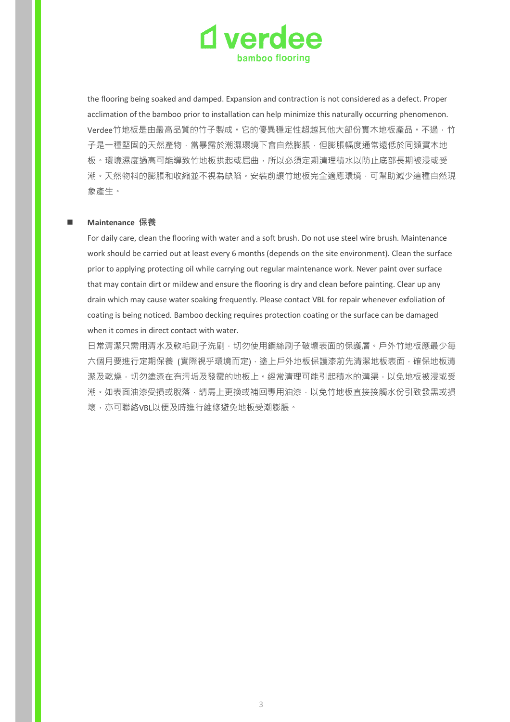

the flooring being soaked and damped. Expansion and contraction is not considered as a defect. Proper acclimation of the bamboo prior to installation can help minimize this naturally occurring phenomenon. Verdee竹地板是由最高品質的竹子製成。它的優異穩定性超越其他大部份實木地板產品。不過,竹 子是一種堅固的天然產物,當暴露於潮濕環境下會自然膨脹,但膨脹幅度通常遠低於同類實木地 板。環境濕度過高可能導致竹地板拱起或屈曲,所以必須定期清理積水以防止底部長期被浸或受 潮。天然物料的膨脹和收縮並不視為缺陷。安裝前讓竹地板完全適應環境,可幫助減少這種自然現 象產生。

#### **Maintenance 保養**

For daily care, clean the flooring with water and a soft brush. Do not use steel wire brush. Maintenance work should be carried out at least every 6 months (depends on the site environment). Clean the surface prior to applying protecting oil while carrying out regular maintenance work. Never paint over surface that may contain dirt or mildew and ensure the flooring is dry and clean before painting. Clear up any drain which may cause water soaking frequently. Please contact VBL for repair whenever exfoliation of coating is being noticed. Bamboo decking requires protection coating or the surface can be damaged when it comes in direct contact with water.

日常清潔只需用清水及軟毛刷子洗刷,切勿使用鋼絲刷子破壞表面的保護層。戶外竹地板應最少每 六個月要進行定期保養 (實際視乎環境而定),塗上戶外地板保護漆前先清潔地板表面,確保地板清 潔及乾燥,切勿塗漆在有污垢及發霉的地板上。經常清理可能引起積水的溝渠,以免地板被浸或受 潮。如表面油漆受損或脫落,請馬上更換或補回專用油漆,以免竹地板直接接觸水份引致發黑或損 壞,亦可聯絡VBL以便及時進行維修避免地板受潮膨脹。